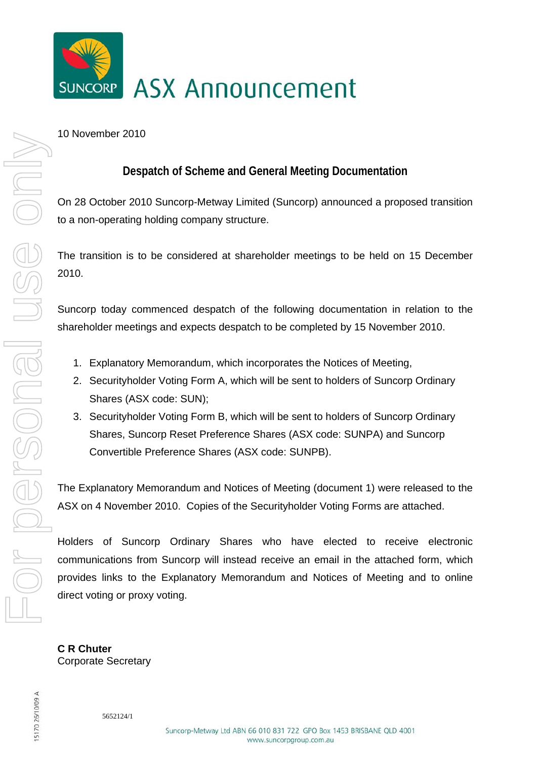

## 10 November 2010

## **Despatch of Scheme and General Meeting Documentation**

On 28 October 2010 Suncorp-Metway Limited (Suncorp) announced a proposed transition to a non-operating holding company structure.

The transition is to be considered at shareholder meetings to be held on 15 December 2010.

Suncorp today commenced despatch of the following documentation in relation to the shareholder meetings and expects despatch to be completed by 15 November 2010.

- 1. Explanatory Memorandum, which incorporates the Notices of Meeting,
- 2. Securityholder Voting Form A, which will be sent to holders of Suncorp Ordinary Shares (ASX code: SUN);
- 3. Securityholder Voting Form B, which will be sent to holders of Suncorp Ordinary Shares, Suncorp Reset Preference Shares (ASX code: SUNPA) and Suncorp Convertible Preference Shares (ASX code: SUNPB).

The Explanatory Memorandum and Notices of Meeting (document 1) were released to the ASX on 4 November 2010. Copies of the Securityholder Voting Forms are attached.

Holders of Suncorp Ordinary Shares who have elected to receive electronic communications from Suncorp will instead receive an email in the attached form, which provides links to the Explanatory Memorandum and Notices of Meeting and to online direct voting or proxy voting.

**C R Chuter**  Corporate Secretary

5170 26/10/09 A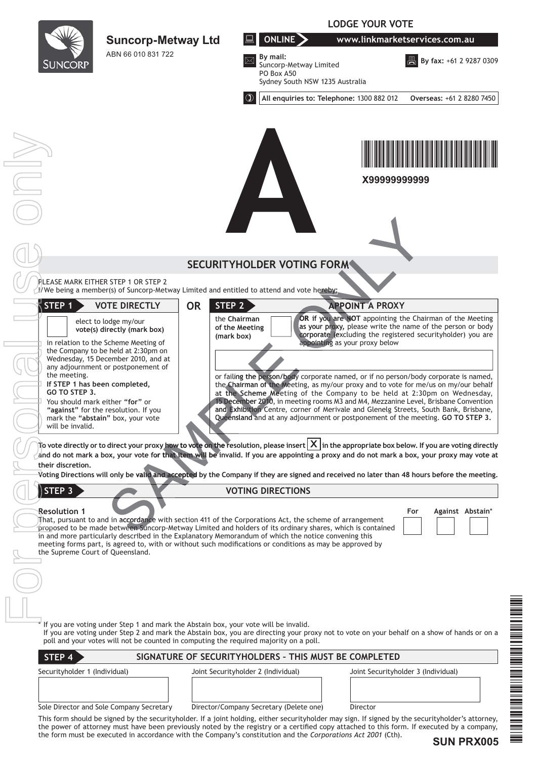|                                                                                                                              |                                                                                                                                                                                               |                                              | <b>LODGE YOUR VOTE</b>                                                                                                                                                                                                                                                                                                                                                                                                                                                                                                  |                                     |                                                                                                                                                                                       |  |
|------------------------------------------------------------------------------------------------------------------------------|-----------------------------------------------------------------------------------------------------------------------------------------------------------------------------------------------|----------------------------------------------|-------------------------------------------------------------------------------------------------------------------------------------------------------------------------------------------------------------------------------------------------------------------------------------------------------------------------------------------------------------------------------------------------------------------------------------------------------------------------------------------------------------------------|-------------------------------------|---------------------------------------------------------------------------------------------------------------------------------------------------------------------------------------|--|
|                                                                                                                              | <b>Suncorp-Metway Ltd</b>                                                                                                                                                                     |                                              | ONLINE >                                                                                                                                                                                                                                                                                                                                                                                                                                                                                                                | www.linkmarketservices.com.au       |                                                                                                                                                                                       |  |
| <b>SUNCORP</b>                                                                                                               | ABN 66 010 831 722                                                                                                                                                                            |                                              | By mail:<br>Suncorp-Metway Limited<br>PO Box A50<br>Sydney South NSW 1235 Australia                                                                                                                                                                                                                                                                                                                                                                                                                                     |                                     | <b>B</b> By fax: +61 2 9287 0309                                                                                                                                                      |  |
|                                                                                                                              |                                                                                                                                                                                               |                                              | All enquiries to: Telephone: 1300 882 012                                                                                                                                                                                                                                                                                                                                                                                                                                                                               |                                     | Overseas: +61 2 8280 7450                                                                                                                                                             |  |
| $\begin{array}{c} \begin{array}{c} \begin{array}{c} \text{ } \\ \text{ } \\ \text{ } \\ \end{array} \end{array} \end{array}$ |                                                                                                                                                                                               |                                              |                                                                                                                                                                                                                                                                                                                                                                                                                                                                                                                         | X99999999999                        |                                                                                                                                                                                       |  |
|                                                                                                                              |                                                                                                                                                                                               |                                              | <b>SECURITYHOLDER VOTING FORM</b>                                                                                                                                                                                                                                                                                                                                                                                                                                                                                       |                                     |                                                                                                                                                                                       |  |
|                                                                                                                              | PLEASE MARK EITHER STEP 1 OR STEP 2<br>Wwe being a member(s) of Suncorp-Metway Limited and entitled to attend and vote hereby:                                                                |                                              |                                                                                                                                                                                                                                                                                                                                                                                                                                                                                                                         |                                     |                                                                                                                                                                                       |  |
| STEP 1                                                                                                                       | <b>VOTE DIRECTLY</b>                                                                                                                                                                          | <b>OR</b><br>STEP 2                          |                                                                                                                                                                                                                                                                                                                                                                                                                                                                                                                         | <b>APPOINT A PROXY</b>              |                                                                                                                                                                                       |  |
|                                                                                                                              | elect to lodge my/our<br>vote(s) directly (mark box)<br>in relation to the Scheme Meeting of                                                                                                  | the Chairman<br>of the Meeting<br>(mark box) | appointing as your proxy below                                                                                                                                                                                                                                                                                                                                                                                                                                                                                          |                                     | OR if you are NOT appointing the Chairman of the Meeting<br>as your proxy, please write the name of the person or body<br>corporate (excluding the registered securityholder) you are |  |
| the meeting.<br>If STEP 1 has been completed,<br>GO TO STEP 3.<br>You should mark either "for" or<br>will be invalid.        | the Company to be held at 2:30pm on<br>Wednesday, 15 December 2010, and at<br>any adjournment or postponement of<br>"against" for the resolution. If you<br>mark the "abstain" box, your vote |                                              | or failing the person/body corporate named, or if no person/body corporate is named,<br>the Chairman of the Meeting, as my/our proxy and to vote for me/us on my/our behalf<br>at the Scheme Meeting of the Company to be held at 2:30pm on Wednesday,<br>15 December 2010, in meeting rooms M3 and M4, Mezzanine Level, Brisbane Convention<br>and Exhibition Centre, corner of Merivale and Glenelg Streets, South Bank, Brisbane,<br>Queensland and at any adjournment or postponement of the meeting. GO TO STEP 3. |                                     |                                                                                                                                                                                       |  |
| their discretion.                                                                                                            |                                                                                                                                                                                               |                                              | To vote directly or to direct your proxy how to vote on the resolution, please insert $ \mathsf{X} $ in the appropriate box below. If you are voting directly<br>and do not mark a box, your vote for that item will be invalid. If you are appointing a proxy and do not mark a box, your proxy may vote at<br>Voting Directions will only be valid and accepted by the Company if they are signed and received no later than 48 hours before the meeting.                                                             |                                     |                                                                                                                                                                                       |  |
| STEP 3                                                                                                                       |                                                                                                                                                                                               |                                              | <b>VOTING DIRECTIONS</b>                                                                                                                                                                                                                                                                                                                                                                                                                                                                                                |                                     |                                                                                                                                                                                       |  |
| <b>Resolution 1</b><br>the Supreme Court of Queensland.                                                                      |                                                                                                                                                                                               |                                              | That, pursuant to and in accordance with section 411 of the Corporations Act, the scheme of arrangement<br>proposed to be made between Suncorp-Metway Limited and holders of its ordinary shares, which is contained<br>in and more particularly described in the Explanatory Memorandum of which the notice convening this<br>meeting forms part, is agreed to, with or without such modifications or conditions as may be approved by                                                                                 | For                                 | Against Abstain*                                                                                                                                                                      |  |
|                                                                                                                              |                                                                                                                                                                                               |                                              |                                                                                                                                                                                                                                                                                                                                                                                                                                                                                                                         |                                     |                                                                                                                                                                                       |  |
|                                                                                                                              | If you are voting under Step 1 and mark the Abstain box, your vote will be invalid.<br>poll and your votes will not be counted in computing the required majority on a poll.                  |                                              | If you are voting under Step 2 and mark the Abstain box, you are directing your proxy not to vote on your behalf on a show of hands or on a                                                                                                                                                                                                                                                                                                                                                                             |                                     |                                                                                                                                                                                       |  |
| STEP 4                                                                                                                       |                                                                                                                                                                                               |                                              | SIGNATURE OF SECURITYHOLDERS - THIS MUST BE COMPLETED                                                                                                                                                                                                                                                                                                                                                                                                                                                                   |                                     |                                                                                                                                                                                       |  |
| Securityholder 1 (Individual)                                                                                                |                                                                                                                                                                                               | Joint Securityholder 2 (Individual)          |                                                                                                                                                                                                                                                                                                                                                                                                                                                                                                                         | Joint Securityholder 3 (Individual) |                                                                                                                                                                                       |  |
|                                                                                                                              | Sole Director and Sole Company Secretary                                                                                                                                                      |                                              | Director/Company Secretary (Delete one)                                                                                                                                                                                                                                                                                                                                                                                                                                                                                 | Director                            |                                                                                                                                                                                       |  |
|                                                                                                                              |                                                                                                                                                                                               |                                              | This form should be signed by the securityholder. If a joint holding, either securityholder may sign. If signed by the securityholder's attorney,<br>the power of attorney must have been previously noted by the registry or a certified copy attached to this form. If executed by a company,<br>the form must be executed in accordance with the Company's constitution and the Corporations Act 2001 (Cth).                                                                                                         |                                     |                                                                                                                                                                                       |  |

**SUN PRX005**

\*SUN PRAY PROPERTY AND PROPERTY AND ALL AND PROPERTY AND ALL AND DESCRIPTION OF PROPERTY AND ALL AND DESCRIPTION

**THE REAL PROPERTY AND AN ABOVE AND ALL PROPERTY**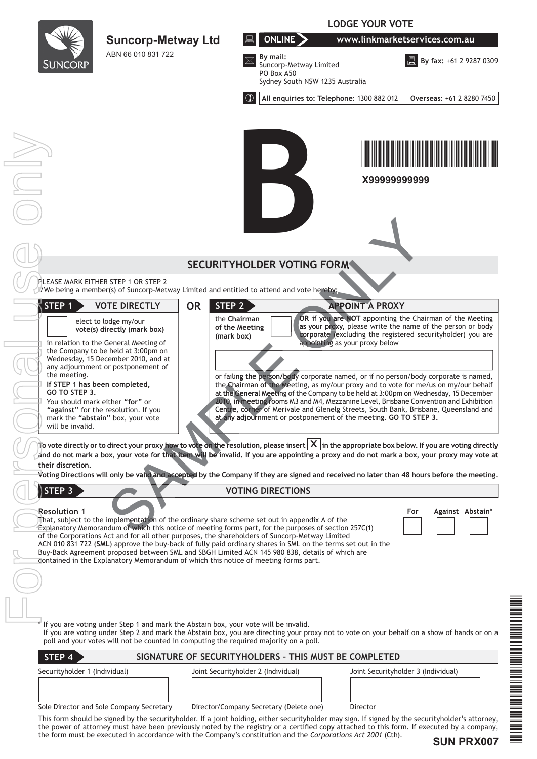|                                                                                                       |                                                                                                                                 | <b>LODGE YOUR VOTE</b>                       |                                                                                                                                                                                                                                                                                                                                                                                                                                                                                                                            |                                     |                                                                                                                                                                                       |  |
|-------------------------------------------------------------------------------------------------------|---------------------------------------------------------------------------------------------------------------------------------|----------------------------------------------|----------------------------------------------------------------------------------------------------------------------------------------------------------------------------------------------------------------------------------------------------------------------------------------------------------------------------------------------------------------------------------------------------------------------------------------------------------------------------------------------------------------------------|-------------------------------------|---------------------------------------------------------------------------------------------------------------------------------------------------------------------------------------|--|
|                                                                                                       | <b>Suncorp-Metway Ltd</b>                                                                                                       |                                              | ONLINE<br>www.linkmarketservices.com.au                                                                                                                                                                                                                                                                                                                                                                                                                                                                                    |                                     |                                                                                                                                                                                       |  |
| <b>SUNCORP</b>                                                                                        | ABN 66 010 831 722                                                                                                              |                                              | By mail:<br>Suncorp-Metway Limited<br>PO Box A50<br>Sydney South NSW 1235 Australia                                                                                                                                                                                                                                                                                                                                                                                                                                        |                                     | <b>A</b> By fax: +61 2 9287 0309                                                                                                                                                      |  |
|                                                                                                       |                                                                                                                                 | $\circledcirc$                               | All enquiries to: Telephone: 1300 882 012                                                                                                                                                                                                                                                                                                                                                                                                                                                                                  |                                     | Overseas: +61 2 8280 7450                                                                                                                                                             |  |
|                                                                                                       |                                                                                                                                 |                                              |                                                                                                                                                                                                                                                                                                                                                                                                                                                                                                                            | X99999999999                        |                                                                                                                                                                                       |  |
|                                                                                                       |                                                                                                                                 |                                              | <b>SECURITYHOLDER VOTING FORM</b>                                                                                                                                                                                                                                                                                                                                                                                                                                                                                          |                                     |                                                                                                                                                                                       |  |
|                                                                                                       | PLEASE MARK EITHER STEP 1 OR STEP 2<br>V/We being a member(s) of Suncorp-Metway Limited and entitled to attend and vote hereby: |                                              |                                                                                                                                                                                                                                                                                                                                                                                                                                                                                                                            |                                     |                                                                                                                                                                                       |  |
| $\vec{\ }$ STEP 1                                                                                     | <b>VOTE DIRECTLY</b>                                                                                                            | <b>OR</b><br>STEP 2                          |                                                                                                                                                                                                                                                                                                                                                                                                                                                                                                                            | <b>APPOINT A PROXY</b>              |                                                                                                                                                                                       |  |
|                                                                                                       | elect to lodge my/our<br>vote(s) directly (mark box)<br>in relation to the General Meeting of                                   | the Chairman<br>of the Meeting<br>(mark box) | appointing as your proxy below                                                                                                                                                                                                                                                                                                                                                                                                                                                                                             |                                     | OR if you are NOT appointing the Chairman of the Meeting<br>as your proxy, please write the name of the person or body<br>corporate (excluding the registered securityholder) you are |  |
| the meeting.                                                                                          | the Company to be held at 3:00pm on<br>Wednesday, 15 December 2010, and at<br>any adjournment or postponement of                |                                              |                                                                                                                                                                                                                                                                                                                                                                                                                                                                                                                            |                                     |                                                                                                                                                                                       |  |
| If STEP 1 has been completed,<br>GO TO STEP 3.<br>You should mark either "for" or<br>will be invalid. | "against" for the resolution. If you<br>mark the "abstain" box, your vote                                                       |                                              | or failing the person/body corporate named, or if no person/body corporate is named,<br>the Chairman of the Meeting, as my/our proxy and to vote for me/us on my/our behalf<br>at the General Meeting of the Company to be held at 3:00pm on Wednesday, 15 December<br>2010, in meeting rooms M3 and M4, Mezzanine Level, Brisbane Convention and Exhibition<br>Centre, corner of Merivale and Glenelg Streets, South Bank, Brisbane, Queensland and<br>at any adjournment or postponement of the meeting. GO TO STEP 3.   |                                     |                                                                                                                                                                                       |  |
| their discretion.                                                                                     |                                                                                                                                 |                                              | To vote directly or to direct your proxy how to vote on the resolution, please insert $ \mathsf{X} $ in the appropriate box below. If you are voting directly<br>and do not mark a box, your vote for that item will be invalid. If you are appointing a proxy and do not mark a box, your proxy may vote at<br>Voting Directions will only be valid and accepted by the Company if they are signed and received no later than 48 hours before the meeting.                                                                |                                     |                                                                                                                                                                                       |  |
| <b>STEP 3</b>                                                                                         |                                                                                                                                 |                                              | <b>VOTING DIRECTIONS</b>                                                                                                                                                                                                                                                                                                                                                                                                                                                                                                   |                                     |                                                                                                                                                                                       |  |
| <b>Resolution 1</b>                                                                                   | contained in the Explanatory Memorandum of which this notice of meeting forms part.                                             |                                              | That, subject to the implementation of the ordinary share scheme set out in appendix A of the<br>Explanatory Memorandum of which this notice of meeting forms part, for the purposes of section 257C(1)<br>of the Corporations Act and for all other purposes, the shareholders of Suncorp-Metway Limited<br>ACN 010 831 722 (SML) approve the buy-back of fully paid ordinary shares in SML on the terms set out in the<br>Buy-Back Agreement proposed between SML and SBGH Limited ACN 145 980 838, details of which are |                                     | Against Abstain*<br>For                                                                                                                                                               |  |
|                                                                                                       |                                                                                                                                 |                                              |                                                                                                                                                                                                                                                                                                                                                                                                                                                                                                                            |                                     |                                                                                                                                                                                       |  |
|                                                                                                       |                                                                                                                                 |                                              |                                                                                                                                                                                                                                                                                                                                                                                                                                                                                                                            |                                     |                                                                                                                                                                                       |  |
|                                                                                                       | If you are voting under Step 1 and mark the Abstain box, your vote will be invalid.                                             |                                              | If you are voting under Step 2 and mark the Abstain box, you are directing your proxy not to vote on your behalf on a show of hands or on a                                                                                                                                                                                                                                                                                                                                                                                |                                     |                                                                                                                                                                                       |  |
|                                                                                                       | poll and your votes will not be counted in computing the required majority on a poll.                                           |                                              |                                                                                                                                                                                                                                                                                                                                                                                                                                                                                                                            |                                     |                                                                                                                                                                                       |  |
| STEP 4<br>Securityholder 1 (Individual)                                                               |                                                                                                                                 | Joint Securityholder 2 (Individual)          | SIGNATURE OF SECURITYHOLDERS - THIS MUST BE COMPLETED                                                                                                                                                                                                                                                                                                                                                                                                                                                                      | Joint Securityholder 3 (Individual) |                                                                                                                                                                                       |  |
|                                                                                                       |                                                                                                                                 |                                              |                                                                                                                                                                                                                                                                                                                                                                                                                                                                                                                            |                                     |                                                                                                                                                                                       |  |
|                                                                                                       | Sole Director and Sole Company Secretary                                                                                        |                                              | Director/Company Secretary (Delete one)                                                                                                                                                                                                                                                                                                                                                                                                                                                                                    | Director                            |                                                                                                                                                                                       |  |

 $\equiv$ 

 $\overline{\phantom{a}}$ 

**SUN PRX007**

\*SUN PRAY PROPERTY AND PROPERTY AND ALL AND PROPERTY AND ALL AND ALL AND DESCRIPTION OF PROPERTY AND ALL AND D

**THE CONFIDENTIAL CONTINUES OF A SECOND CONFIDENTIAL CONFIDENTIAL**